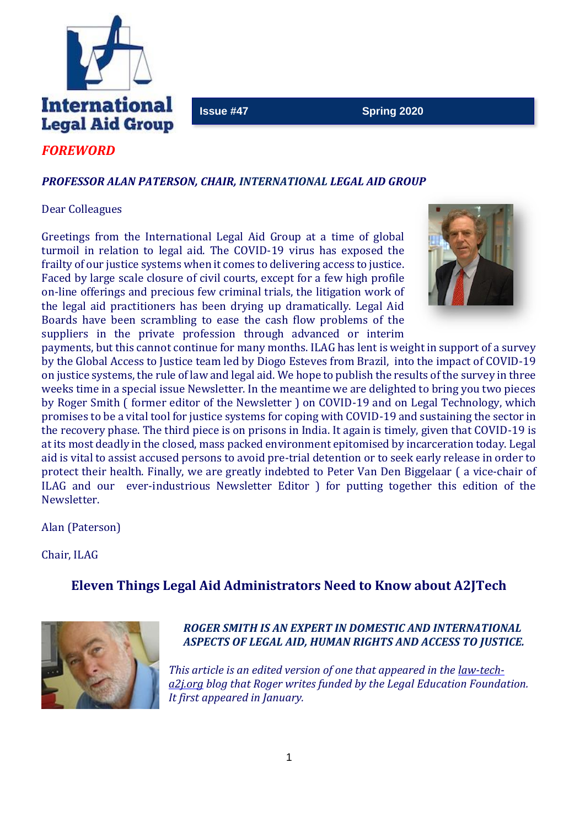

#### **Issue #47** Spring 2020

# *FOREWORD*

#### *PROFESSOR ALAN PATERSON, CHAIR, INTERNATIONAL LEGAL AID GROUP*

#### Dear Colleagues

Greetings from the International Legal Aid Group at a time of global turmoil in relation to legal aid. The COVID-19 virus has exposed the frailty of our justice systems when it comes to delivering access to justice. Faced by large scale closure of civil courts, except for a few high profile on-line offerings and precious few criminal trials, the litigation work of the legal aid practitioners has been drying up dramatically. Legal Aid Boards have been scrambling to ease the cash flow problems of the suppliers in the private profession through advanced or interim



payments, but this cannot continue for many months. ILAG has lent is weight in support of a survey by the Global Access to Justice team led by Diogo Esteves from Brazil, into the impact of COVID-19 on justice systems, the rule of law and legal aid. We hope to publish the results of the survey in three weeks time in a special issue Newsletter. In the meantime we are delighted to bring you two pieces by Roger Smith ( former editor of the Newsletter ) on COVID-19 and on Legal Technology, which promises to be a vital tool for justice systems for coping with COVID-19 and sustaining the sector in the recovery phase. The third piece is on prisons in India. It again is timely, given that COVID-19 is at its most deadly in the closed, mass packed environment epitomised by incarceration today. Legal aid is vital to assist accused persons to avoid pre-trial detention or to seek early release in order to protect their health. Finally, we are greatly indebted to Peter Van Den Biggelaar ( a vice-chair of ILAG and our ever-industrious Newsletter Editor ) for putting together this edition of the Newsletter.

Alan (Paterson)

Chair, ILAG

# **Eleven Things Legal Aid Administrators Need to Know about A2JTech**



# *ROGER SMITH IS AN EXPERT IN DOMESTIC AND INTERNATIONAL ASPECTS OF LEGAL AID, HUMAN RIGHTS AND ACCESS TO JUSTICE.*

*This article is an edited version of one that appeared in the [law-tech](http://law-tech-a2j.org/)[a2j.org](http://law-tech-a2j.org/) blog that Roger writes funded by the Legal Education Foundation. It first appeared in January.*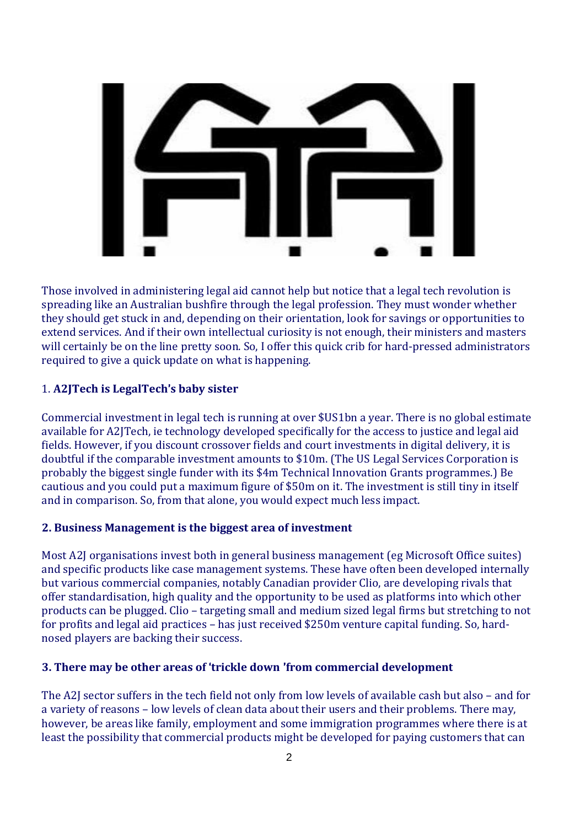

Those involved in administering legal aid cannot help but notice that a legal tech revolution is spreading like an Australian bushfire through the legal profession. They must wonder whether they should get stuck in and, depending on their orientation, look for savings or opportunities to extend services. And if their own intellectual curiosity is not enough, their ministers and masters will certainly be on the line pretty soon. So, I offer this quick crib for hard-pressed administrators required to give a quick update on what is happening.

# 1. **A2JTech is LegalTech**'**s baby sister**

Commercial investment in legal tech is running at over \$US1bn a year. There is no global estimate available for A2JTech, ie technology developed specifically for the access to justice and legal aid fields. However, if you discount crossover fields and court investments in digital delivery, it is doubtful if the comparable investment amounts to \$10m. (The US Legal Services Corporation is probably the biggest single funder with its \$4m Technical Innovation Grants programmes.) Be cautious and you could put a maximum figure of \$50m on it. The investment is still tiny in itself and in comparison. So, from that alone, you would expect much less impact.

#### **2. Business Management is the biggest area of investment**

Most A2J organisations invest both in general business management (eg Microsoft Office suites) and specific products like case management systems. These have often been developed internally but various commercial companies, notably Canadian provider Clio, are developing rivals that offer standardisation, high quality and the opportunity to be used as platforms into which other products can be plugged. Clio – targeting small and medium sized legal firms but stretching to not for profits and legal aid practices – has just received \$250m venture capital funding. So, hardnosed players are backing their success.

#### **3. There may be other areas of** '**trickle down** '**from commercial development**

The A2J sector suffers in the tech field not only from low levels of available cash but also – and for a variety of reasons – low levels of clean data about their users and their problems. There may, however, be areas like family, employment and some immigration programmes where there is at least the possibility that commercial products might be developed for paying customers that can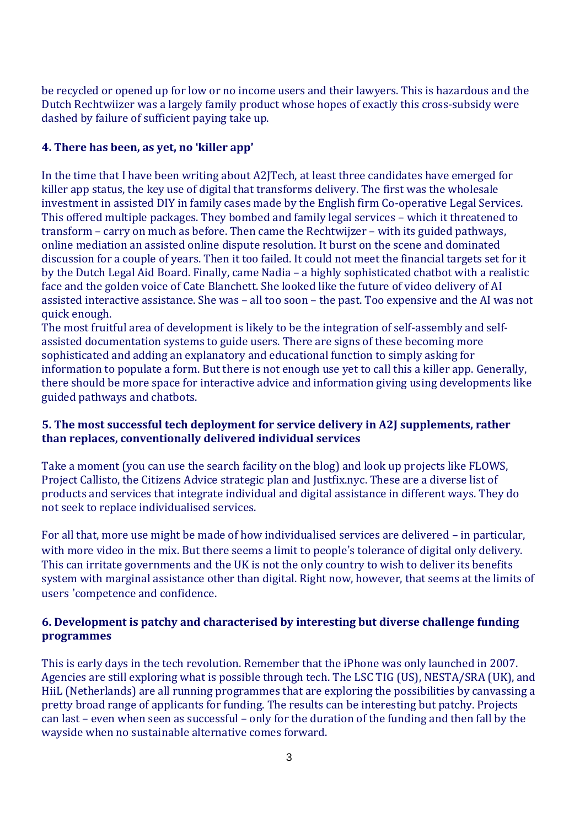be recycled or opened up for low or no income users and their lawyers. This is hazardous and the Dutch Rechtwiizer was a largely family product whose hopes of exactly this cross-subsidy were dashed by failure of sufficient paying take up.

#### **4. There has been, as yet, no** '**killer app**'

In the time that I have been writing about A2JTech, at least three candidates have emerged for killer app status, the key use of digital that transforms delivery. The first was the wholesale investment in assisted DIY in family cases made by the English firm Co-operative Legal Services. This offered multiple packages. They bombed and family legal services – which it threatened to transform – carry on much as before. Then came the Rechtwijzer – with its guided pathways, online mediation an assisted online dispute resolution. It burst on the scene and dominated discussion for a couple of years. Then it too failed. It could not meet the financial targets set for it by the Dutch Legal Aid Board. Finally, came Nadia – a highly sophisticated chatbot with a realistic face and the golden voice of Cate Blanchett. She looked like the future of video delivery of AI assisted interactive assistance. She was – all too soon – the past. Too expensive and the AI was not quick enough.

The most fruitful area of development is likely to be the integration of self-assembly and selfassisted documentation systems to guide users. There are signs of these becoming more sophisticated and adding an explanatory and educational function to simply asking for information to populate a form. But there is not enough use yet to call this a killer app. Generally, there should be more space for interactive advice and information giving using developments like guided pathways and chatbots.

#### **5. The most successful tech deployment for service delivery in A2J supplements, rather than replaces, conventionally delivered individual services**

Take a moment (you can use the search facility on the blog) and look up projects like FLOWS, Project Callisto, the Citizens Advice strategic plan and Justfix.nyc. These are a diverse list of products and services that integrate individual and digital assistance in different ways. They do not seek to replace individualised services.

For all that, more use might be made of how individualised services are delivered – in particular, with more video in the mix. But there seems a limit to people's tolerance of digital only delivery. This can irritate governments and the UK is not the only country to wish to deliver its benefits system with marginal assistance other than digital. Right now, however, that seems at the limits of users 'competence and confidence.

# **6. Development is patchy and characterised by interesting but diverse challenge funding programmes**

This is early days in the tech revolution. Remember that the iPhone was only launched in 2007. Agencies are still exploring what is possible through tech. The LSC TIG (US), NESTA/SRA (UK), and HiiL (Netherlands) are all running programmes that are exploring the possibilities by canvassing a pretty broad range of applicants for funding. The results can be interesting but patchy. Projects can last – even when seen as successful – only for the duration of the funding and then fall by the wayside when no sustainable alternative comes forward.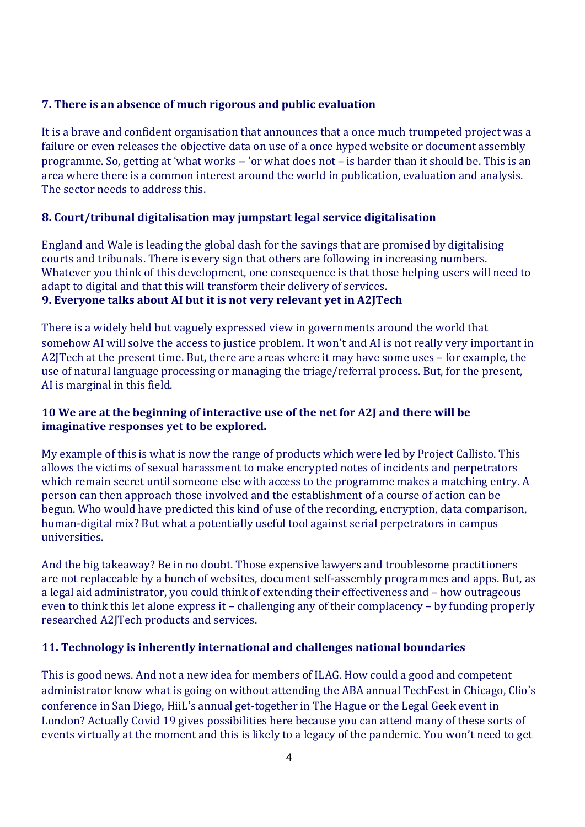#### **7. There is an absence of much rigorous and public evaluation**

It is a brave and confident organisation that announces that a once much trumpeted project was a failure or even releases the objective data on use of a once hyped website or document assembly programme. So, getting at 'what works – 'or what does not – is harder than it should be. This is an area where there is a common interest around the world in publication, evaluation and analysis. The sector needs to address this.

# **8. Court/tribunal digitalisation may jumpstart legal service digitalisation**

England and Wale is leading the global dash for the savings that are promised by digitalising courts and tribunals. There is every sign that others are following in increasing numbers. Whatever you think of this development, one consequence is that those helping users will need to adapt to digital and that this will transform their delivery of services.

#### **9. Everyone talks about AI but it is not very relevant yet in A2JTech**

There is a widely held but vaguely expressed view in governments around the world that somehow AI will solve the access to justice problem. It won't and AI is not really very important in A2JTech at the present time. But, there are areas where it may have some uses – for example, the use of natural language processing or managing the triage/referral process. But, for the present, AI is marginal in this field.

# **10 We are at the beginning of interactive use of the net for A2J and there will be imaginative responses yet to be explored.**

My example of this is what is now the range of products which were led by Project Callisto. This allows the victims of sexual harassment to make encrypted notes of incidents and perpetrators which remain secret until someone else with access to the programme makes a matching entry. A person can then approach those involved and the establishment of a course of action can be begun. Who would have predicted this kind of use of the recording, encryption, data comparison, human-digital mix? But what a potentially useful tool against serial perpetrators in campus universities.

And the big takeaway? Be in no doubt. Those expensive lawyers and troublesome practitioners are not replaceable by a bunch of websites, document self-assembly programmes and apps. But, as a legal aid administrator, you could think of extending their effectiveness and – how outrageous even to think this let alone express it – challenging any of their complacency – by funding properly researched A2JTech products and services.

#### **11. Technology is inherently international and challenges national boundaries**

This is good news. And not a new idea for members of ILAG. How could a good and competent administrator know what is going on without attending the ABA annual TechFest in Chicago, Clio's conference in San Diego, HiiL's annual get-together in The Hague or the Legal Geek event in London? Actually Covid 19 gives possibilities here because you can attend many of these sorts of events virtually at the moment and this is likely to a legacy of the pandemic. You won't need to get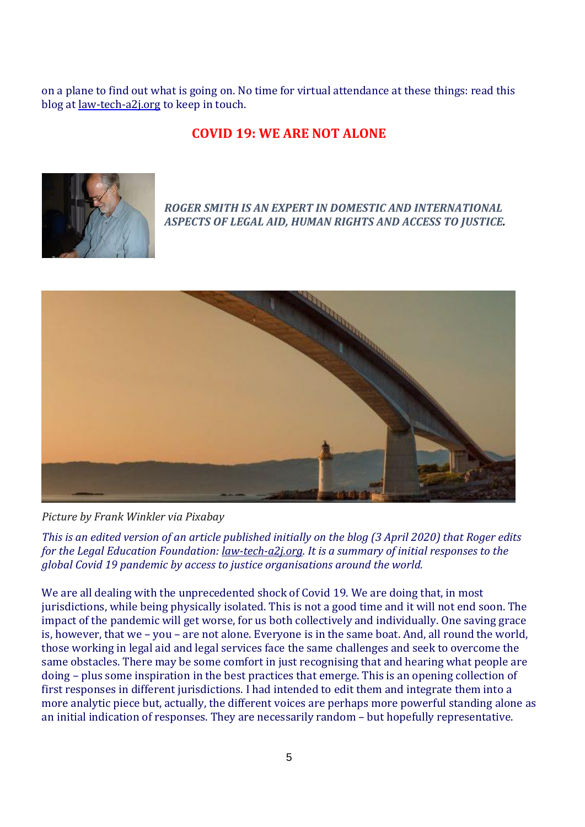on a plane to find out what is going on. No time for virtual attendance at these things: read this blog at [law-tech-a2j.org](http://law-tech-a2j.org/) to keep in touch.

# **COVID 19: WE ARE NOT ALONE**



*ROGER SMITH IS AN EXPERT IN DOMESTIC AND INTERNATIONAL ASPECTS OF LEGAL AID, HUMAN RIGHTS AND ACCESS TO JUSTICE.*



*Picture by Frank Winkler via Pixabay*

This is an edited version of an article published initially on the blog (3 April 2020) that Roger edits *for the Legal Education Foundation: [law-tech-a2j.org.](http://law-tech-a2j.org/) It is a summary of initial responses to the global Covid 19 pandemic by access to justice organisations around the world.*

We are all dealing with the unprecedented shock of Covid 19. We are doing that, in most jurisdictions, while being physically isolated. This is not a good time and it will not end soon. The impact of the pandemic will get worse, for us both collectively and individually. One saving grace is, however, that we – you – are not alone. Everyone is in the same boat. And, all round the world, those working in legal aid and legal services face the same challenges and seek to overcome the same obstacles. There may be some comfort in just recognising that and hearing what people are doing – plus some inspiration in the best practices that emerge. This is an opening collection of first responses in different jurisdictions. I had intended to edit them and integrate them into a more analytic piece but, actually, the different voices are perhaps more powerful standing alone as an initial indication of responses. They are necessarily random – but hopefully representative.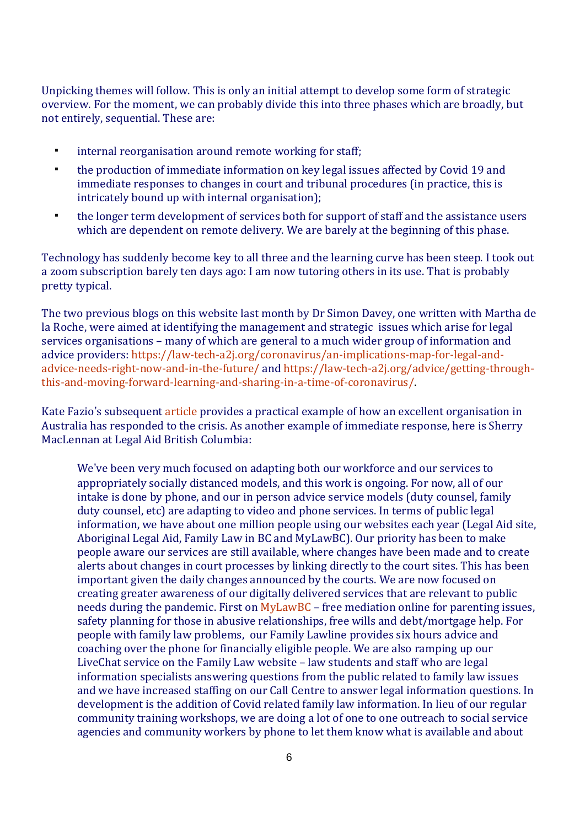Unpicking themes will follow. This is only an initial attempt to develop some form of strategic overview. For the moment, we can probably divide this into three phases which are broadly, but not entirely, sequential. These are:

- **internal reorganisation around remote working for staff;**
- the production of immediate information on key legal issues affected by Covid 19 and immediate responses to changes in court and tribunal procedures (in practice, this is intricately bound up with internal organisation);
- the longer term development of services both for support of staff and the assistance users which are dependent on remote delivery. We are barely at the beginning of this phase.

Technology has suddenly become key to all three and the learning curve has been steep. I took out a zoom subscription barely ten days ago: I am now tutoring others in its use. That is probably pretty typical.

The two previous blogs on this website last month by Dr Simon Davey, one written with Martha de la Roche, were aimed at identifying the management and strategic issues which arise for legal services organisations – many of which are general to a much wider group of information and advice providers: [https://law-tech-a2j.org/coronavirus/an-implications-map-for-legal-and](https://law-tech-a2j.org/coronavirus/an-implications-map-for-legal-and-advice-needs-right-now-and-in-the-future/)[advice-needs-right-now-and-in-the-future/](https://law-tech-a2j.org/coronavirus/an-implications-map-for-legal-and-advice-needs-right-now-and-in-the-future/) and [https://law-tech-a2j.org/advice/getting-through](https://law-tech-a2j.org/advice/getting-through-this-and-moving-forward-learning-and-sharing-in-a-time-of-coronavirus/)[this-and-moving-forward-learning-and-sharing-in-a-time-of-coronavirus/.](https://law-tech-a2j.org/advice/getting-through-this-and-moving-forward-learning-and-sharing-in-a-time-of-coronavirus/)

Kate Fazio's subsequent [article](http://law-tech-a2j.org/law-tech/response-to-covid-19-justice-connect-in-australia/) provides a practical example of how an excellent organisation in Australia has responded to the crisis. As another example of immediate response, here is Sherry MacLennan at Legal Aid British Columbia:

We've been very much focused on adapting both our workforce and our services to appropriately socially distanced models, and this work is ongoing. For now, all of our intake is done by phone, and our in person advice service models (duty counsel, family duty counsel, etc) are adapting to video and phone services. In terms of public legal information, we have about one million people using our websites each year (Legal Aid site, Aboriginal Legal Aid, Family Law in BC and MyLawBC). Our priority has been to make people aware our services are still available, where changes have been made and to create alerts about changes in court processes by linking directly to the court sites. This has been important given the daily changes announced by the courts. We are now focused on creating greater awareness of our digitally delivered services that are relevant to public needs during the pandemic. First on [MyLawBC](https://mylawbc.com/) – free mediation online for parenting issues, safety planning for those in abusive relationships, free wills and debt/mortgage help. For people with family law problems, our Family Lawline provides six hours advice and coaching over the phone for financially eligible people. We are also ramping up our LiveChat service on the Family Law website – law students and staff who are legal information specialists answering questions from the public related to family law issues and we have increased staffing on our Call Centre to answer legal information questions. In development is the addition of Covid related family law information. In lieu of our regular community training workshops, we are doing a lot of one to one outreach to social service agencies and community workers by phone to let them know what is available and about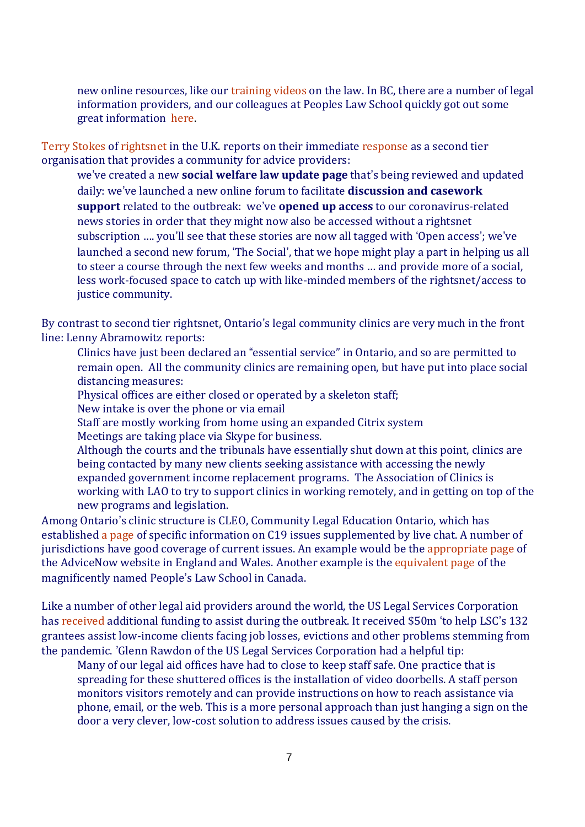new online resources, like our [training](https://legalaid.bc.ca/community_workers/training) videos on the law. In BC, there are a number of legal information providers, and our colleagues at Peoples Law School quickly got out some great information [here.](https://www.peopleslawschool.ca/everyday-legal-problems/health/coronavirus/coronavirus-your-legal-questions-answered)

Terry [Stokes](http://law-tech-a2j.org/digital-information/activists-speaking-1-terrys-story-terry-stokes-of-rightsnet/) of [rightsnet](http://law-tech-a2j.org/odr/rightsnet-a-model-of-virtual-specialist-support/) in the U.K. reports on their immediate [response](https://www.rightsnet.org.uk/rightsnet-response-to-covid-19) as a second tier organisation that provides a community for advice providers:

we've created a new **social welfare law update page** that's being reviewed and updated daily: we've launched a new online forum to facilitate **discussion and casework support** related to the outbreak: we've **opened up access** to our coronavirus-related news stories in order that they might now also be accessed without a rightsnet subscription …. you'll see that these stories are now all tagged with 'Open access'; we've launched a second new forum, 'The Social', that we hope might play a part in helping us all to steer a course through the next few weeks and months … and provide more of a social, less work-focused space to catch up with like-minded members of the rightsnet/access to justice community.

By contrast to second tier rightsnet, Ontario's legal community clinics are very much in the front line: Lenny Abramowitz reports:

- Clinics have just been declared an "essential service" in Ontario, and so are permitted to remain open. All the community clinics are remaining open, but have put into place social distancing measures:
- Physical offices are either closed or operated by a skeleton staff;
- New intake is over the phone or via email
- Staff are mostly working from home using an expanded Citrix system
- Meetings are taking place via Skype for business.
- Although the courts and the tribunals have essentially shut down at this point, clinics are being contacted by many new clients seeking assistance with accessing the newly expanded government income replacement programs. The Association of Clinics is working with LAO to try to support clinics in working remotely, and in getting on top of the new programs and legislation.

Among Ontario's clinic structure is CLEO, Community Legal Education Ontario, which has established a [page](http://stepstojustice.ca/covid-19) of specific information on C19 issues supplemented by live chat. A number of jurisdictions have good coverage of current issues. An example would be the [appropriate](http://www.advicenow.org.uk/tags/public-health) page of the AdviceNow website in England and Wales. Another example is the [equivalent](http://www.peopleslawschool.ca/everyday-legal-problems/health/coronavirus/coronavirus-your-legal-questions-answered) page of the magnificently named People's Law School in Canada.

Like a number of other legal aid providers around the world, the US Legal Services Corporation has [received](http://www.lsc.gov/lsc-and-covid-19) additional funding to assist during the outbreak. It received \$50m 'to help LSC's 132 grantees assist low-income clients facing job losses, evictions and other problems stemming from the pandemic. 'Glenn Rawdon of the US Legal Services Corporation had a helpful tip:

Many of our legal aid offices have had to close to keep staff safe. One practice that is spreading for these shuttered offices is the installation of video doorbells. A staff person monitors visitors remotely and can provide instructions on how to reach assistance via phone, email, or the web. This is a more personal approach than just hanging a sign on the door a very clever, low-cost solution to address issues caused by the crisis.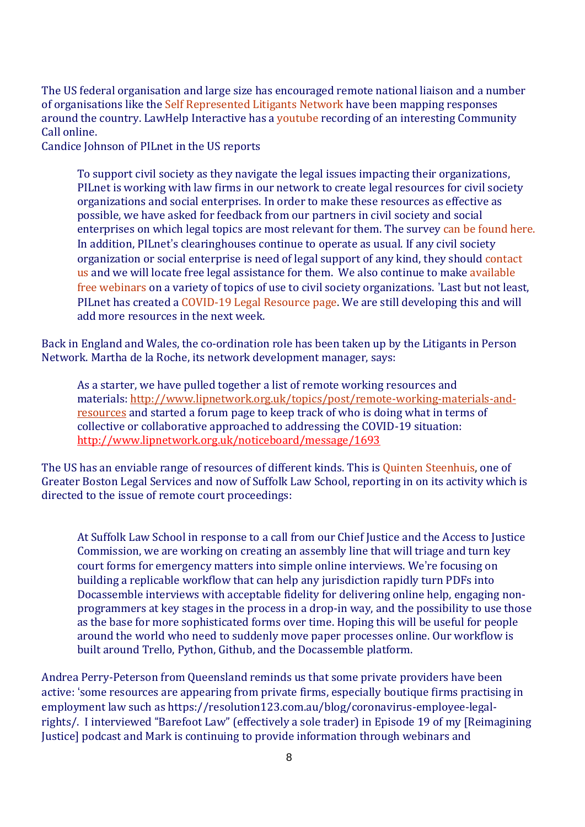The US federal organisation and large size has encouraged remote national liaison and a number of organisations like the Self [Represented](http://www.srln.org/) Litigants Network have been mapping responses around the country. LawHelp Interactive has a [youtube](http://www.youtube.com/watch?v=_lB9azxeAqY&feature=youtu.be) recording of an interesting Community Call online.

Candice Johnson of PILnet in the US reports

To support civil society as they navigate the legal issues impacting their organizations, PILnet is working with law firms in our network to create legal resources for civil society organizations and social enterprises. In order to make these resources as effective as possible, we have asked for feedback from our partners in civil society and social enterprises on which legal topics are most relevant for them. The survey can be [found](https://pilnet.formstack.com/forms/covid_19_ngo) here. In addition, PILnet's clearinghouses continue to operate as usual. If any civil society organization or social enterprise is need of legal support of any kind, they should [contact](https://clearinghouse.pilnet.org/) [us](https://clearinghouse.pilnet.org/) and we will locate free legal assistance for them. We also continue to make [available](https://www.europeanprobonoalliance.org/webinars/) free [webinars](https://www.europeanprobonoalliance.org/webinars/) on a variety of topics of use to civil society organizations. 'Last but not least, PILnet has created a [COVID-19](https://clearinghouse.pilnet.org/resources/) Legal Resource page. We are still developing this and will add more resources in the next week.

Back in England and Wales, the co-ordination role has been taken up by the Litigants in Person Network. Martha de la Roche, its network development manager, says:

As a starter, we have pulled together a list of remote working resources and materials: [http://www.lipnetwork.org.uk/topics/post/remote-working-materials-and](http://www.lipnetwork.org.uk/topics/post/remote-working-materials-and-resources)[resources](http://www.lipnetwork.org.uk/topics/post/remote-working-materials-and-resources) and started a forum page to keep track of who is doing what in terms of collective or collaborative approached to addressing the COVID-19 situation: <http://www.lipnetwork.org.uk/noticeboard/message/1693>

The US has an enviable range of resources of different kinds. This is Quinten [Steenhuis,](http://law-tech-a2j.org/odr/made-in-boston-replicable-around-the-world/) one of Greater Boston Legal Services and now of Suffolk Law School, reporting in on its activity which is directed to the issue of remote court proceedings:

At Suffolk Law School in response to a call from our Chief Justice and the Access to Justice Commission, we are working on creating an assembly line that will triage and turn key court forms for emergency matters into simple online interviews. We're focusing on building a replicable workflow that can help any jurisdiction rapidly turn PDFs into Docassemble interviews with acceptable fidelity for delivering online help, engaging nonprogrammers at key stages in the process in a drop-in way, and the possibility to use those as the base for more sophisticated forms over time. Hoping this will be useful for people around the world who need to suddenly move paper processes online. Our workflow is built around Trello, Python, Github, and the Docassemble platform.

Andrea Perry-Peterson from Queensland reminds us that some private providers have been active: 'some resources are appearing from private firms, especially boutique firms practising in employment law such as [https://resolution123.com.au/blog/coronavirus-employee-legal](https://resolution123.com.au/blog/coronavirus-employee-legal-rights/)[rights/.](https://resolution123.com.au/blog/coronavirus-employee-legal-rights/) I interviewed "Barefoot Law" (effectively a sole trader) in Episode 19 of my [Reimagining Justice] podcast and Mark is continuing to provide information through webinars and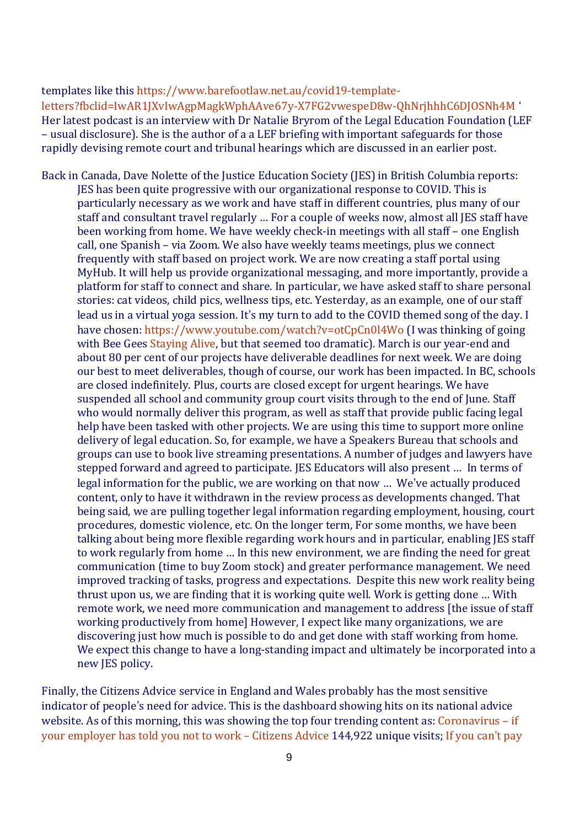templates like this [https://www.barefootlaw.net.au/covid19-template](https://www.barefootlaw.net.au/covid19-template-letters?fbclid=IwAR1JXvIwAgpMagkWphAAve67y-X7FG2vwespeD8w-QhNrjhhhC6DJOSNh4M)[letters?fbclid=IwAR1JXvIwAgpMagkWphAAve67y-X7FG2vwespeD8w-QhNrjhhhC6DJOSNh4M](https://www.barefootlaw.net.au/covid19-template-letters?fbclid=IwAR1JXvIwAgpMagkWphAAve67y-X7FG2vwespeD8w-QhNrjhhhC6DJOSNh4M) ' Her latest podcast is an interview with Dr Natalie Bryrom of the Legal Education Foundation (LEF – usual disclosure). She is the author of a a LEF briefing with important safeguards for those rapidly devising remote court and tribunal hearings which are discussed in an [earlier](http://law-tech-a2j.org/odr/coronavirus-courts-and-legal-services/) post.

Back in Canada, Dave Nolette of the Justice Education Society (JES) in British Columbia reports: JES has been quite progressive with our organizational response to COVID. This is particularly necessary as we work and have staff in different countries, plus many of our staff and consultant travel regularly … For a couple of weeks now, almost all JES staff have been working from home. We have weekly check-in meetings with all staff – one English call, one Spanish – via Zoom. We also have weekly teams meetings, plus we connect frequently with staff based on project work. We are now creating a staff portal using MyHub. It will help us provide organizational messaging, and more importantly, provide a platform for staff to connect and share. In particular, we have asked staff to share personal stories: cat videos, child pics, wellness tips, etc. Yesterday, as an example, one of our staff lead us in a virtual yoga session. It's my turn to add to the COVID themed song of the day. I have chosen: <https://www.youtube.com/watch?v=otCpCn0l4Wo> (I was thinking of going with Bee Gees [Staying](https://www.youtube.com/watch?v=fNFzfwLM72c) Alive, but that seemed too dramatic). March is our year-end and about 80 per cent of our projects have deliverable deadlines for next week. We are doing our best to meet deliverables, though of course, our work has been impacted. In BC, schools are closed indefinitely. Plus, courts are closed except for urgent hearings. We have suspended all school and community group court visits through to the end of June. Staff who would normally deliver this program, as well as staff that provide public facing legal help have been tasked with other projects. We are using this time to support more online delivery of legal education. So, for example, we have a Speakers Bureau that schools and groups can use to book live streaming presentations. A number of judges and lawyers have stepped forward and agreed to participate. JES Educators will also present … In terms of legal information for the public, we are working on that now … We've actually produced content, only to have it withdrawn in the review process as developments changed. That being said, we are pulling together legal information regarding employment, housing, court procedures, domestic violence, etc. On the longer term, For some months, we have been talking about being more flexible regarding work hours and in particular, enabling JES staff to work regularly from home … In this new environment, we are finding the need for great communication (time to buy Zoom stock) and greater performance management. We need improved tracking of tasks, progress and expectations. Despite this new work reality being thrust upon us, we are finding that it is working quite well. Work is getting done … With remote work, we need more communication and management to address [the issue of staff working productively from home] However, I expect like many organizations, we are discovering just how much is possible to do and get done with staff working from home. We expect this change to have a long-standing impact and ultimately be incorporated into a new JES policy.

Finally, the Citizens Advice service in England and Wales probably has the most sensitive indicator of people's need for advice. This is the dashboard showing hits on its national advice website. As of this morning, this was showing the top four trending content as: [Coronavirus](https://www.citizensadvice.org.uk/work/coronavirus-if-your-employer-has-told-you-not-to-work/) – if your [employer](https://www.citizensadvice.org.uk/work/coronavirus-if-your-employer-has-told-you-not-to-work/) has told you not to work – Citizens Advice 144,922 unique visits; If [you](https://www.citizensadvice.org.uk/debt-and-money/if-you-cant-pay-your-bills-because-of-coronavirus/) can't pay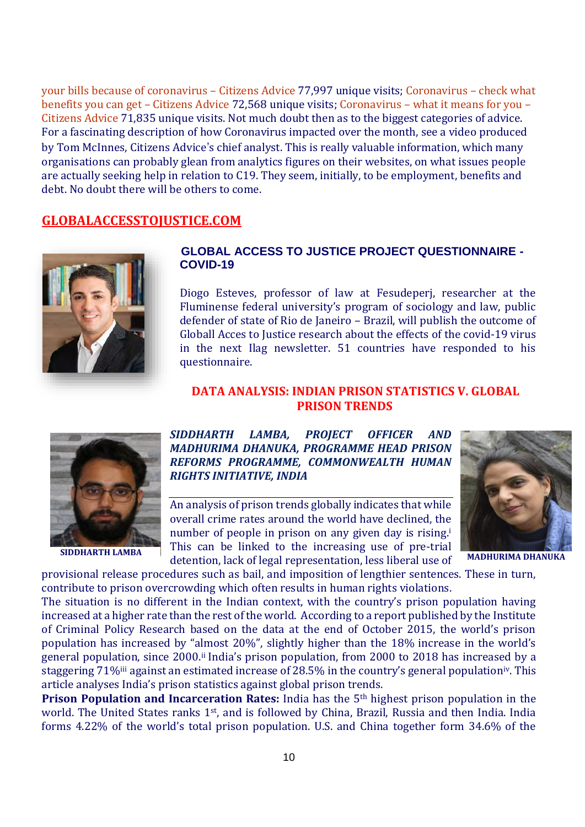your bills because of [coronavirus](https://www.citizensadvice.org.uk/debt-and-money/if-you-cant-pay-your-bills-because-of-coronavirus/) – Citizens Advice 77,997 unique visits; [Coronavirus](https://www.citizensadvice.org.uk/benefits/coronavirus-check-what-benefits-you-can-get/) – check what [benefits](https://www.citizensadvice.org.uk/benefits/coronavirus-check-what-benefits-you-can-get/) you can get – Citizens Advice 72,568 unique visits; [Coronavirus](https://www.citizensadvice.org.uk/health/coronavirus-what-it-means-for-you/) – what it means for you – [Citizens](https://www.citizensadvice.org.uk/health/coronavirus-what-it-means-for-you/) Advice 71,835 unique visits. Not much doubt then as to the biggest categories of advice. For a fascinating description of how Coronavirus impacted over the month, see a [video](http://twitter.com/tommacinnes/status/1245004184996454403?s=12) produced by Tom McInnes, Citizens Advice's chief analyst. This is really valuable information, which many organisations can probably glean from analytics figures on their websites, on what issues people are actually seeking help in relation to C19. They seem, initially, to be employment, benefits and debt. No doubt there will be others to come.

# **GLOBALACCESSTOJUSTICE.COM**



#### **GLOBAL ACCESS TO JUSTICE PROJECT QUESTIONNAIRE - COVID-19**

Diogo Esteves, professor of law at Fesudeperj, researcher at the Fluminense federal university's program of sociology and law, public defender of state of Rio de Janeiro – Brazil, will publish the outcome of Globall Acces to Justice research about the effects of the covid-19 virus in the next Ilag newsletter. 51 countries have responded to his questionnaire.

#### **DATA ANALYSIS: INDIAN PRISON STATISTICS V. GLOBAL PRISON TRENDS**



*SIDDHARTH LAMBA, PROJECT OFFICER AND MADHURIMA DHANUKA, PROGRAMME HEAD PRISON REFORMS PROGRAMME, COMMONWEALTH HUMAN RIGHTS INITIATIVE, INDIA*

An analysis of prison trends globally indicates that while overall crime rates around the world have declined, the number of people in prison on any given day is rising.<sup>i</sup> This can be linked to the increasing use of pre-trial detention, lack of legal representation, less liberal use of **SIDDHARTH LAMBA MADHURIMA DHANUKA**



provisional release procedures such as bail, and imposition of lengthier sentences. These in turn, contribute to prison overcrowding which often results in human rights violations.

The situation is no different in the Indian context, with the country's prison population having increased at a higher rate than the rest of the world. According to a report published by the Institute of Criminal Policy Research based on the data at the end of October 2015, the world's prison population has increased by "almost 20%", slightly higher than the 18% increase in the world's general population, since 2000.ii India's prison population, from 2000 to 2018 has increased by a staggering 71%<sup>iii</sup> against an estimated increase of 28.5% in the country's general population<sup>iv</sup>. This article analyses India's prison statistics against global prison trends.

**Prison Population and Incarceration Rates:** India has the 5th highest prison population in the world. The United States ranks 1st, and is followed by China, Brazil, Russia and then India. India forms 4.22% of the world's total prison population. U.S. and China together form 34.6% of the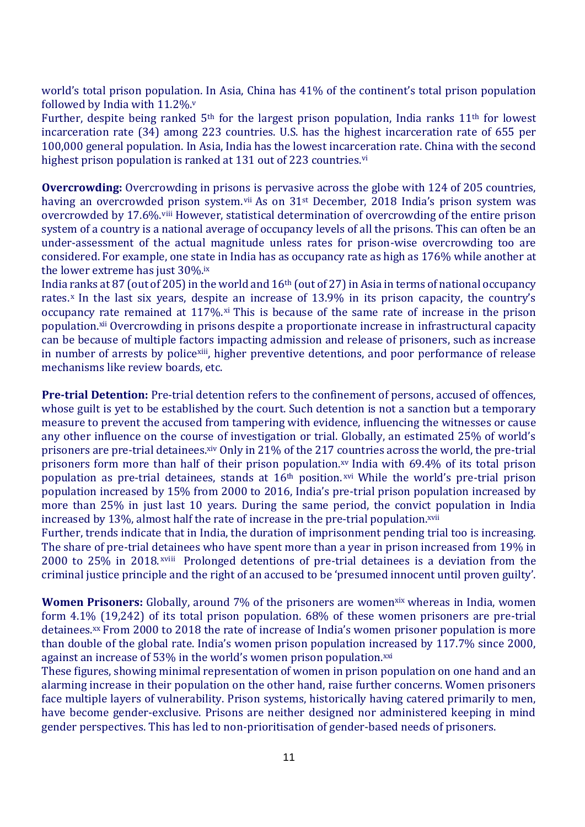world's total prison population. In Asia, China has 41% of the continent's total prison population followed by India with  $11.2\%$ .

Further, despite being ranked 5<sup>th</sup> for the largest prison population, India ranks 11<sup>th</sup> for lowest incarceration rate (34) among 223 countries. U.S. has the highest incarceration rate of 655 per 100,000 general population. In Asia, India has the lowest incarceration rate. China with the second highest prison population is ranked at 131 out of 223 countries.<sup>vi</sup>

**Overcrowding:** Overcrowding in prisons is pervasive across the globe with 124 of 205 countries, having an overcrowded prison system.<sup>vii</sup> As on 31<sup>st</sup> December, 2018 India's prison system was overcrowded by 17.6%.viii However, statistical determination of overcrowding of the entire prison system of a country is a national average of occupancy levels of all the prisons. This can often be an under-assessment of the actual magnitude unless rates for prison-wise overcrowding too are considered. For example, one state in India has as occupancy rate as high as 176% while another at the lower extreme has just 30%.ix

India ranks at 87 (out of 205) in the world and 16<sup>th</sup> (out of 27) in Asia in terms of national occupancy rates.<sup>x</sup> In the last six years, despite an increase of 13.9% in its prison capacity, the country's occupancy rate remained at  $117\%$ .<sup>xi</sup> This is because of the same rate of increase in the prison population.xii Overcrowding in prisons despite a proportionate increase in infrastructural capacity can be because of multiple factors impacting admission and release of prisoners, such as increase in number of arrests by policexiii, higher preventive detentions, and poor performance of release mechanisms like review boards, etc.

**Pre-trial Detention:** Pre-trial detention refers to the confinement of persons, accused of offences, whose guilt is yet to be established by the court. Such detention is not a sanction but a temporary measure to prevent the accused from tampering with evidence, influencing the witnesses or cause any other influence on the course of investigation or trial. Globally, an estimated 25% of world's prisoners are pre-trial detainees.xiv Only in 21% of the 217 countries across the world, the pre-trial prisoners form more than half of their prison population.xv India with 69.4% of its total prison population as pre-trial detainees, stands at 16<sup>th</sup> position.<sup>xvi</sup> While the world's pre-trial prison population increased by 15% from 2000 to 2016, India's pre-trial prison population increased by more than 25% in just last 10 years. During the same period, the convict population in India increased by 13%, almost half the rate of increase in the pre-trial population.<sup>xvii</sup>

Further, trends indicate that in India, the duration of imprisonment pending trial too is increasing. The share of pre-trial detainees who have spent more than a year in prison increased from 19% in 2000 to 25% in 2018. xviii Prolonged detentions of pre-trial detainees is a deviation from the criminal justice principle and the right of an accused to be 'presumed innocent until proven guilty'.

**Women Prisoners:** Globally, around 7% of the prisoners are womenxix whereas in India, women form 4.1% (19,242) of its total prison population. 68% of these women prisoners are pre-trial detainees.<sup>xx</sup> From 2000 to 2018 the rate of increase of India's women prisoner population is more than double of the global rate. India's women prison population increased by 117.7% since 2000, against an increase of 53% in the world's women prison population.xxi

These figures, showing minimal representation of women in prison population on one hand and an alarming increase in their population on the other hand, raise further concerns. Women prisoners face multiple layers of vulnerability. Prison systems, historically having catered primarily to men, have become gender-exclusive. Prisons are neither designed nor administered keeping in mind gender perspectives. This has led to non-prioritisation of gender-based needs of prisoners.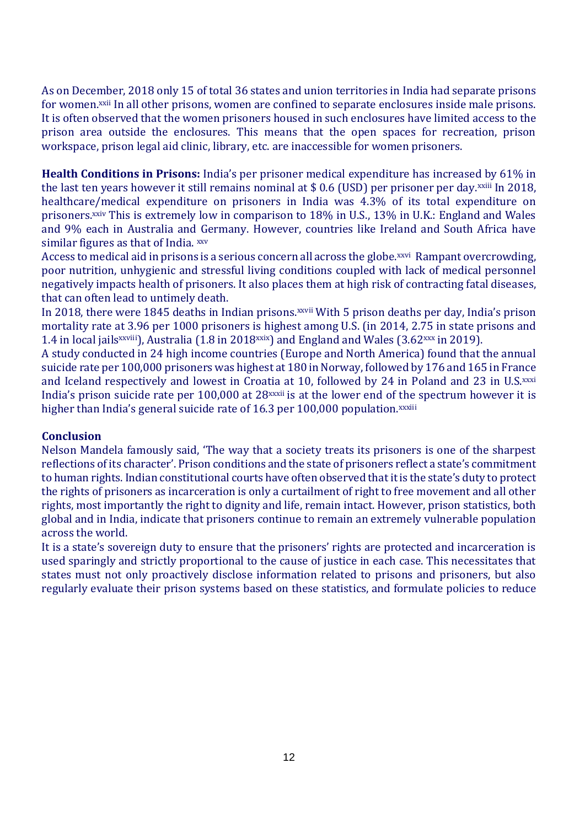As on December, 2018 only 15 of total 36 states and union territories in India had separate prisons for women.xxii In all other prisons, women are confined to separate enclosures inside male prisons. It is often observed that the women prisoners housed in such enclosures have limited access to the prison area outside the enclosures. This means that the open spaces for recreation, prison workspace, prison legal aid clinic, library, etc. are inaccessible for women prisoners.

**Health Conditions in Prisons:** India's per prisoner medical expenditure has increased by 61% in the last ten years however it still remains nominal at \$0.6 (USD) per prisoner per day.<sup>xxiii</sup> In 2018, healthcare/medical expenditure on prisoners in India was 4.3% of its total expenditure on prisoners.xxiv This is extremely low in comparison to 18% in U.S., 13% in U.K.: England and Wales and 9% each in Australia and Germany. However, countries like Ireland and South Africa have similar figures as that of India. **xxv** 

Access to medical aid in prisons is a serious concern all across the globe.<sup>xxvi</sup> Rampant overcrowding, poor nutrition, unhygienic and stressful living conditions coupled with lack of medical personnel negatively impacts health of prisoners. It also places them at high risk of contracting fatal diseases, that can often lead to untimely death.

In 2018, there were 1845 deaths in Indian prisons. *xxvii* With 5 prison deaths per day, India's prison mortality rate at 3.96 per 1000 prisoners is highest among U.S. (in 2014, 2.75 in state prisons and 1.4 in local jails<sup>xxviii</sup>), Australia (1.8 in 2018<sup>xxix</sup>) and England and Wales (3.62 $^{xxx}$  in 2019).

A study conducted in 24 high income countries (Europe and North America) found that the annual suicide rate per 100,000 prisoners was highest at 180 in Norway, followed by 176 and 165 in France and Iceland respectively and lowest in Croatia at 10, followed by 24 in Poland and 23 in U.S.xxxi India's prison suicide rate per 100,000 at 28<sup>xxxii</sup> is at the lower end of the spectrum however it is higher than India's general suicide rate of 16.3 per 100,000 population.xxxiii

#### **Conclusion**

Nelson Mandela famously said, 'The way that a society treats its prisoners is one of the sharpest reflections of its character'. Prison conditions and the state of prisoners reflect a state's commitment to human rights. Indian constitutional courts have often observed that it is the state's duty to protect the rights of prisoners as incarceration is only a curtailment of right to free movement and all other rights, most importantly the right to dignity and life, remain intact. However, prison statistics, both global and in India, indicate that prisoners continue to remain an extremely vulnerable population across the world.

It is a state's sovereign duty to ensure that the prisoners' rights are protected and incarceration is used sparingly and strictly proportional to the cause of justice in each case. This necessitates that states must not only proactively disclose information related to prisons and prisoners, but also regularly evaluate their prison systems based on these statistics, and formulate policies to reduce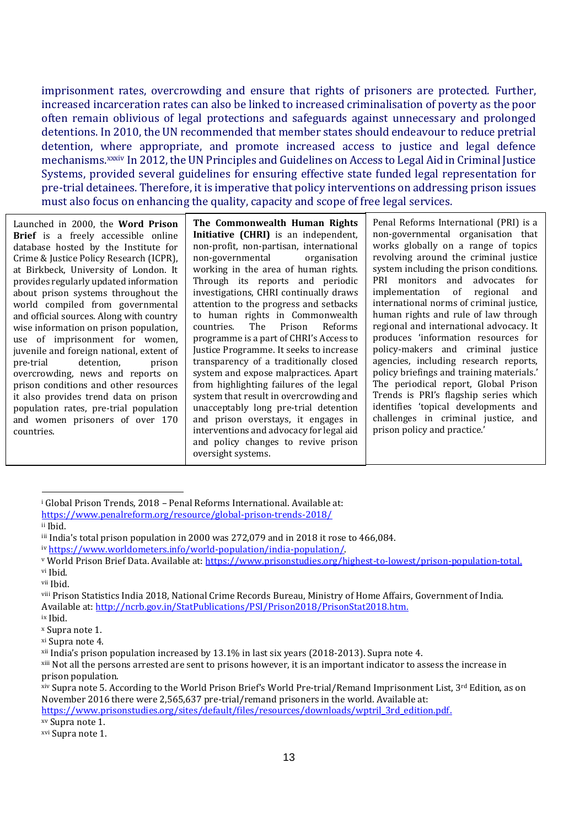imprisonment rates, overcrowding and ensure that rights of prisoners are protected. Further, increased incarceration rates can also be linked to increased criminalisation of poverty as the poor often remain oblivious of legal protections and safeguards against unnecessary and prolonged detentions. In 2010, the UN recommended that member states should endeavour to reduce pretrial detention, where appropriate, and promote increased access to justice and legal defence mechanisms.xxxiv In 2012, the UN Principles and Guidelines on Access to Legal Aid in Criminal Justice Systems, provided several guidelines for ensuring effective state funded legal representation for pre-trial detainees. Therefore, it is imperative that policy interventions on addressing prison issues must also focus on enhancing the quality, capacity and scope of free legal services.

Launched in 2000, the **Word Prison Brief** is a freely accessible online database hosted by the Institute for Crime & Justice Policy Research (ICPR), at Birkbeck, University of London. It provides regularly updated information about prison systems throughout the world compiled from governmental and official sources. Along with country wise information on prison population, use of imprisonment for women, juvenile and foreign national, extent of pre-trial detention, prison overcrowding, news and reports on prison conditions and other resources it also provides trend data on prison population rates, pre-trial population and women prisoners of over 170 countries.

**The Commonwealth Human Rights Initiative (CHRI)** is an independent, non-profit, non-partisan, international non-governmental organisation working in the area of human rights. Through its reports and periodic investigations, CHRI continually draws attention to the progress and setbacks to human rights in Commonwealth countries. The Prison Reforms programme is a part of CHRI's Access to Justice Programme. It seeks to increase transparency of a traditionally closed system and expose malpractices. Apart from highlighting failures of the legal system that result in overcrowding and unacceptably long pre-trial detention and prison overstays, it engages in interventions and advocacy for legal aid and policy changes to revive prison oversight systems.

Penal Reforms International (PRI) is a non-governmental organisation that works globally on a range of topics revolving around the criminal justice system including the prison conditions. PRI monitors and advocates for implementation of regional and international norms of criminal justice, human rights and rule of law through regional and international advocacy. It produces 'information resources for policy-makers and criminal justice agencies, including research reports, policy briefings and training materials.' The periodical report, Global Prison Trends is PRI's flagship series which identifies 'topical developments and challenges in criminal justice, and prison policy and practice.'

 $\overline{a}$ 

xv Supra note 1.

<sup>i</sup> Global Prison Trends, 2018 – Penal Reforms International. Available at:

<https://www.penalreform.org/resource/global-prison-trends-2018/>

ii Ibid.

iii India's total prison population in 2000 was 272,079 and in 2018 it rose to 466,084.

iv [https://www.worldometers.info/world-population/india-population/.](https://www.worldometers.info/world-population/india-population/)

<sup>v</sup> World Prison Brief Data. Available at: [https://www.prisonstudies.org/highest-to-lowest/prison-population-total.](https://www.prisonstudies.org/highest-to-lowest/prison-population-total) vi Ibid.

vii Ibid.

viii Prison Statistics India 2018, National Crime Records Bureau, Ministry of Home Affairs, Government of India. Available at[: http://ncrb.gov.in/StatPublications/PSI/Prison2018/PrisonStat2018.htm.](http://ncrb.gov.in/StatPublications/PSI/Prison2018/PrisonStat2018.htm) ix Ibid.

<sup>x</sup> Supra note 1. xi Supra note 4.

xii India's prison population increased by 13.1% in last six years (2018-2013). Supra note 4.

xiii Not all the persons arrested are sent to prisons however, it is an important indicator to assess the increase in prison population.

 $x$ iv Supra note 5. According to the World Prison Brief's World Pre-trial/Remand Imprisonment List, 3<sup>rd</sup> Edition, as on November 2016 there were 2,565,637 pre-trial/remand prisoners in the world. Available at: [https://www.prisonstudies.org/sites/default/files/resources/downloads/wptril\\_3rd\\_edition.pdf.](https://www.prisonstudies.org/sites/default/files/resources/downloads/wptril_3rd_edition.pdf)

xvi Supra note 1.